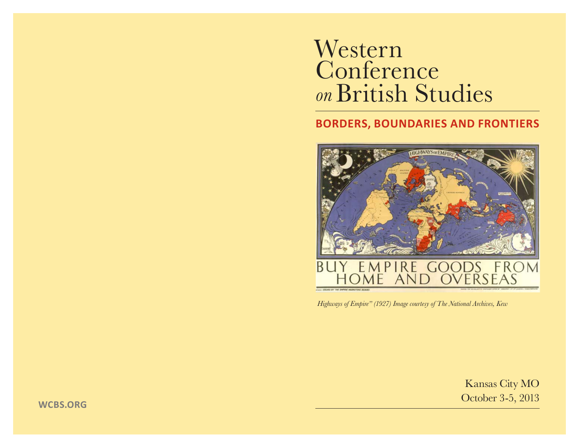# Western Conference *on* British Studies

## **BORDERS, BOUNDARIES AND FRONTIERS**



*Highways of Empire" (1927) Image courtesy of The National Archives, Kew*

Kansas City MO October 3-5, 2013

**WCBS.ORG**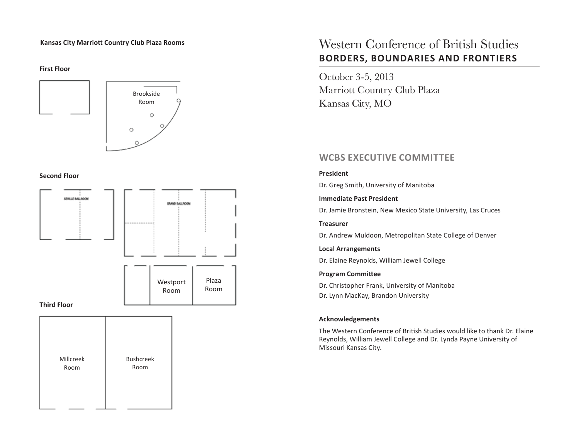#### **Kansas City Marriott Country Club Plaza Rooms**

**First Floor**



#### **Second Floor**



## Western Conference of British Studies **BORDERS, BOUNDARIES AND FRONTIERS**

October 3-5, 2013 Marriott Country Club Plaza Kansas City, MO

## **WCBS EXECUTIVE COMMITTEE**

#### **President**

Dr. Greg Smith, University of Manitoba

#### **Immediate Past President**

Dr. Jamie Bronstein, New Mexico State University, Las Cruces

#### **Treasurer**

Dr. Andrew Muldoon, Metropolitan State College of Denver

#### **Local Arrangements**

Dr. Elaine Reynolds, William Jewell College

#### **Program Committee**

Dr. Christopher Frank, University of Manitoba Dr. Lynn MacKay, Brandon University

#### **Acknowledgements**

The Western Conference of British Studies would like to thank Dr. Elaine Reynolds, William Jewell College and Dr. Lynda Payne University of Missouri Kansas City.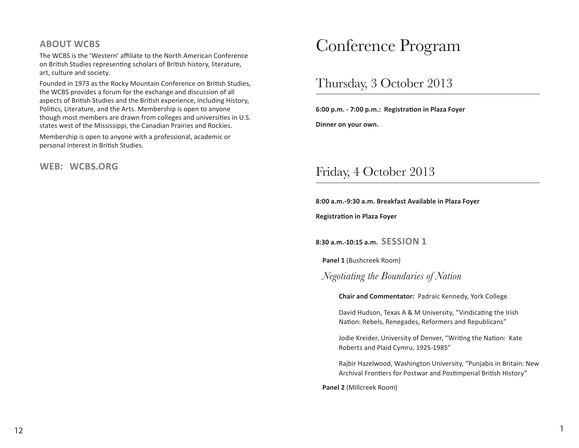### **ABOUT WCBS**

The WCBS is the 'Western' affiliate to the North American Conference on British Studies representing scholars of British history, literature, art, culture and society.

Founded in 1973 as the Rocky Mountain Conference on British Studies, the WCBS provides a forum for the exchange and discussion of all aspects of British Studies and the British experience, including History, Politics, Literature, and the Arts. Membership is open to anyone though most members are drawn from colleges and universities in U.S. states west of the Mississippi, the Canadian Prairies and Rockies.

Membership is open to anyone with a professional, academic or personal interest in British Studies.

#### **WEB: WCBS.ORG**

## Conference Program

## Thursday, 3 October 2013

**6:00 p.m. - 7:00 p.m.: Registration in Plaza Foyer**

**Dinner on your own.**

## Friday, 4 October 2013

#### **8:00 a.m.-9:30 a.m. Breakfast Available in Plaza Foyer**

**Registration in Plaza Foyer**

**8:30 a.m.-10:15 a.m. SESSION 1**

**Panel 1** (Bushcreek Room)

*Negotiating the Boundaries of Nation*

**Chair and Commentator:** Padraic Kennedy, York College

David Hudson, Texas A & M University, "Vindicating the Irish Nation: Rebels, Renegades, Reformers and Republicans"

Jodie Kreider, University of Denver, "Writing the Nation: Kate Roberts and Plaid Cymru, 1925-1985"

Rajbir Hazelwood, Washington University, "Punjabis in Britain: New Archival Frontiers for Postwar and Postimperial British History"

**Panel 2** (Millcreek Room)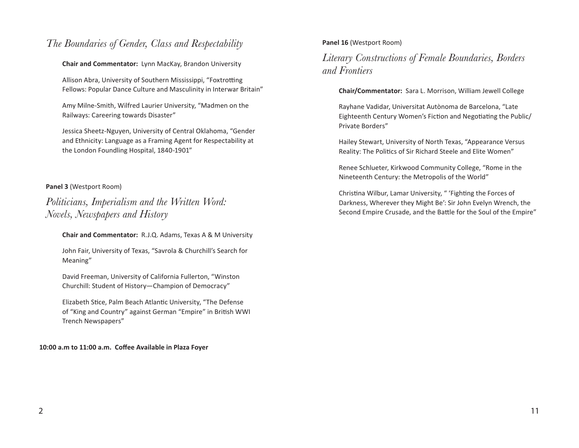## *The Boundaries of Gender, Class and Respectability*

#### **Chair and Commentator:** Lynn MacKay, Brandon University

Allison Abra, University of Southern Mississippi, "Foxtrotting Fellows: Popular Dance Culture and Masculinity in Interwar Britain"

Amy Milne-Smith, Wilfred Laurier University, "Madmen on the Railways: Careering towards Disaster"

Jessica Sheetz-Nguyen, University of Central Oklahoma, "Gender and Ethnicity: Language as a Framing Agent for Respectability at the London Foundling Hospital, 1840-1901"

#### **Panel 3** (Westport Room)

*Politicians, Imperialism and the Written Word: Novels, Newspapers and History*

**Chair and Commentator:** R.J.Q. Adams, Texas A & M University

John Fair, University of Texas, "Savrola & Churchill's Search for Meaning"

David Freeman, University of California Fullerton, "Winston Churchill: Student of History—Champion of Democracy"

Elizabeth Stice, Palm Beach Atlantic University, "The Defense of "King and Country" against German "Empire" in British WWI Trench Newspapers"

**10:00 a.m to 11:00 a.m. Coffee Available in Plaza Foyer**

#### **Panel 16** (Westport Room)

## *Literary Constructions of Female Boundaries, Borders and Frontiers*

#### **Chair/Commentator:** Sara L. Morrison, William Jewell College

Rayhane Vadidar, Universitat Autònoma de Barcelona, "Late Eighteenth Century Women's Fiction and Negotiating the Public/ Private Borders"

Hailey Stewart, University of North Texas, "Appearance Versus Reality: The Politics of Sir Richard Steele and Elite Women"

Renee Schlueter, Kirkwood Community College, "Rome in the Nineteenth Century: the Metropolis of the World"

Christina Wilbur, Lamar University, " 'Fighting the Forces of Darkness, Wherever they Might Be': Sir John Evelyn Wrench, the Second Empire Crusade, and the Battle for the Soul of the Empire"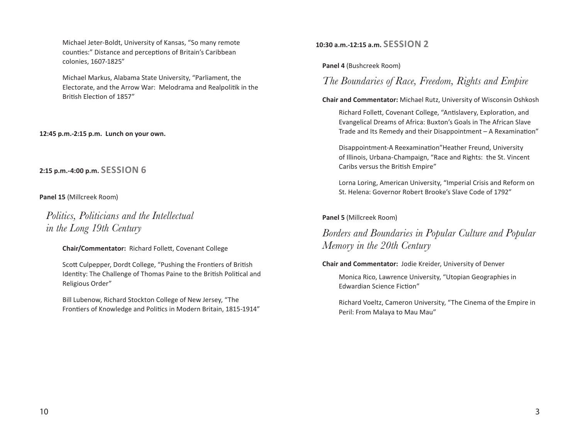Michael Jeter-Boldt, University of Kansas, "So many remote counties:" Distance and perceptions of Britain's Caribbean colonies, 1607-1825"

Michael Markus, Alabama State University, "Parliament, the Electorate, and the Arrow War: Melodrama and Realpolitik in the British Election of 1857"

**12:45 p.m.-2:15 p.m. Lunch on your own.**

**2:15 p.m.-4:00 p.m. SESSION 6**

**Panel 15** (Millcreek Room)

*Politics, Politicians and the Intellectual in the Long 19th Century*

**Chair/Commentator:** Richard Follett, Covenant College

Scott Culpepper, Dordt College, "Pushing the Frontiers of British Identity: The Challenge of Thomas Paine to the British Political and Religious Order"

Bill Lubenow, Richard Stockton College of New Jersey, "The Frontiers of Knowledge and Politics in Modern Britain, 1815-1914" **10:30 a.m.-12:15 a.m. SESSION 2**

**Panel 4** (Bushcreek Room)

*The Boundaries of Race, Freedom, Rights and Empire*

**Chair and Commentator:** Michael Rutz, University of Wisconsin Oshkosh Richard Follett, Covenant College, "Antislavery, Exploration, and Evangelical Dreams of Africa: Buxton's Goals in The African Slave Trade and Its Remedy and their Disappointment – A Rexamination"

Disappointment-A Reexamination"Heather Freund, University of Illinois, Urbana-Champaign, "Race and Rights: the St. Vincent Caribs versus the British Empire"

Lorna Loring, American University, "Imperial Crisis and Reform on St. Helena: Governor Robert Brooke's Slave Code of 1792"

**Panel 5** (Millcreek Room)

*Borders and Boundaries in Popular Culture and Popular Memory in the 20th Century*

**Chair and Commentator:** Jodie Kreider, University of Denver

Monica Rico, Lawrence University, "Utopian Geographies in Edwardian Science Fiction"

Richard Voeltz, Cameron University, "The Cinema of the Empire in Peril: From Malaya to Mau Mau"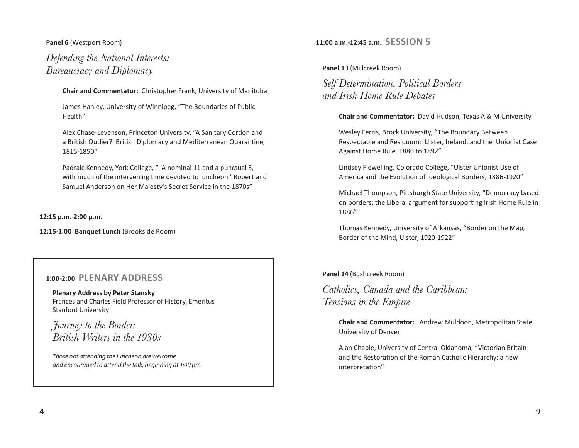#### **Panel 6** (Westport Room)

*Defending the National Interests: Bureaucracy and Diplomacy* 

**Chair and Commentator:** Christopher Frank, University of Manitoba

James Hanley, University of Winnipeg, "The Boundaries of Public Health"

Alex Chase-Levenson, Princeton University, "A Sanitary Cordon and a British Outlier?: British Diplomacy and Mediterranean Quarantine, 1815-1850"

Padraic Kennedy, York College, " 'A nominal 11 and a punctual 5, with much of the intervening time devoted to luncheon:' Robert and Samuel Anderson on Her Majesty's Secret Service in the 1870s"

**12:15 p.m.-2:00 p.m.** 

**12:15-1:00 Banquet Lunch** (Brookside Room)

#### **1:00-2:00 PLENARY ADDRESS**

**Plenary Address by Peter Stansky** Frances and Charles Field Professor of History, Emeritus Stanford University

*Journey to the Border: British Writers in the 1930s*

*Those not attending the luncheon are welcome and encouraged to attend the talk, beginning at 1:00 pm.* 

#### **11:00 a.m.-12:45 a.m. SESSION 5**

**Panel 13** (Millcreek Room)

*Self Determination, Political Borders and Irish Home Rule Debates*

**Chair and Commentator:** David Hudson, Texas A & M University

Wesley Ferris, Brock University, "The Boundary Between Respectable and Residuum: Ulster, Ireland, and the Unionist Case Against Home Rule, 1886 to 1892"

Lindsey Flewelling, Colorado College, "Ulster Unionist Use of America and the Evolution of Ideological Borders, 1886-1920"

Michael Thompson, Pittsburgh State University, "Democracy based on borders: the Liberal argument for supporting Irish Home Rule in 1886"

Thomas Kennedy, University of Arkansas, "Border on the Map, Border of the Mind, Ulster, 1920-1922"

**Panel 14** (Bushcreek Room)

*Catholics, Canada and the Caribbean: Tensions in the Empire* 

> **Chair and Commentator:** Andrew Muldoon, Metropolitan State University of Denver

Alan Chaple, University of Central Oklahoma, "Victorian Britain and the Restoration of the Roman Catholic Hierarchy: a new interpretation"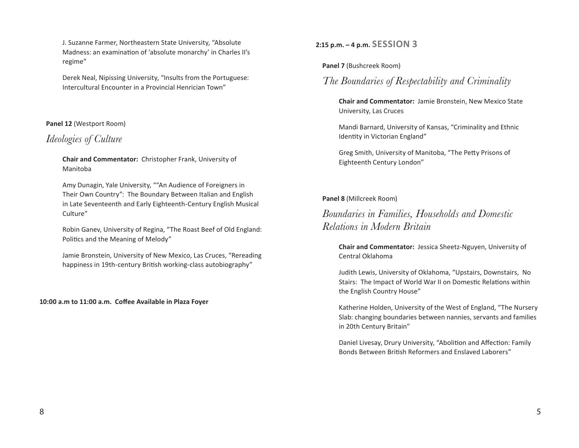J. Suzanne Farmer, Northeastern State University, "Absolute Madness: an examination of 'absolute monarchy' in Charles II's regime"

Derek Neal, Nipissing University, "Insults from the Portuguese: Intercultural Encounter in a Provincial Henrician Town"

#### **Panel 12** (Westport Room)

## *Ideologies of Culture*

**Chair and Commentator:** Christopher Frank, University of Manitoba

Amy Dunagin, Yale University, ""An Audience of Foreigners in Their Own Country": The Boundary Between Italian and English in Late Seventeenth and Early Eighteenth-Century English Musical Culture"

Robin Ganev, University of Regina, "The Roast Beef of Old England: Politics and the Meaning of Melody"

Jamie Bronstein, University of New Mexico, Las Cruces, "Rereading happiness in 19th-century British working-class autobiography"

**10:00 a.m to 11:00 a.m. Coffee Available in Plaza Foyer**

#### **2:15 p.m. – 4 p.m. SESSION 3**

**Panel 7** (Bushcreek Room)

## *The Boundaries of Respectability and Criminality*

**Chair and Commentator:** Jamie Bronstein, New Mexico State University, Las Cruces

Mandi Barnard, University of Kansas, "Criminality and Ethnic Identity in Victorian England"

Greg Smith, University of Manitoba, "The Petty Prisons of Eighteenth Century London"

#### **Panel 8** (Millcreek Room)

## *Boundaries in Families, Households and Domestic Relations in Modern Britain*

**Chair and Commentator:** Jessica Sheetz-Nguyen, University of Central Oklahoma

Judith Lewis, University of Oklahoma, "Upstairs, Downstairs, No Stairs: The Impact of World War II on Domestic Relations within the English Country House"

Katherine Holden, University of the West of England, "The Nursery Slab: changing boundaries between nannies, servants and families in 20th Century Britain"

Daniel Livesay, Drury University, "Abolition and Affection: Family Bonds Between British Reformers and Enslaved Laborers"